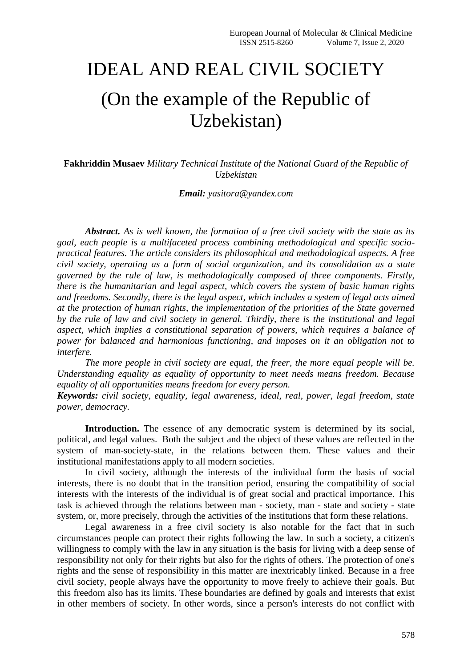## IDEAL AND REAL CIVIL SOCIETY

## (On the example of the Republic of Uzbekistan)

**Fakhriddin Musaev** *Military Technical Institute of the National Guard of the Republic of Uzbekistan*

*Email: yasitora@yandex.com*

*Abstract. As is well known, the formation of a free civil society with the state as its goal, each people is a multifaceted process combining methodological and specific sociopractical features. The article considers its philosophical and methodological aspects. A free civil society, operating as a form of social organization, and its consolidation as a state governed by the rule of law, is methodologically composed of three components. Firstly, there is the humanitarian and legal aspect, which covers the system of basic human rights and freedoms. Secondly, there is the legal aspect, which includes a system of legal acts aimed at the protection of human rights, the implementation of the priorities of the State governed by the rule of law and civil society in general. Thirdly, there is the institutional and legal aspect, which implies a constitutional separation of powers, which requires a balance of power for balanced and harmonious functioning, and imposes on it an obligation not to interfere.*

*The more people in civil society are equal, the freer, the more equal people will be. Understanding equality as equality of opportunity to meet needs means freedom. Because equality of all opportunities means freedom for every person.*

*Keywords: civil society, equality, legal awareness, ideal, real, power, legal freedom, state power, democracy.*

**Introduction.** The essence of any democratic system is determined by its social, political, and legal values. Both the subject and the object of these values are reflected in the system of man-society-state, in the relations between them. These values and their institutional manifestations apply to all modern societies.

In civil society, although the interests of the individual form the basis of social interests, there is no doubt that in the transition period, ensuring the compatibility of social interests with the interests of the individual is of great social and practical importance. This task is achieved through the relations between man - society, man - state and society - state system, or, more precisely, through the activities of the institutions that form these relations.

Legal awareness in a free civil society is also notable for the fact that in such circumstances people can protect their rights following the law. In such a society, a citizen's willingness to comply with the law in any situation is the basis for living with a deep sense of responsibility not only for their rights but also for the rights of others. The protection of one's rights and the sense of responsibility in this matter are inextricably linked. Because in a free civil society, people always have the opportunity to move freely to achieve their goals. But this freedom also has its limits. These boundaries are defined by goals and interests that exist in other members of society. In other words, since a person's interests do not conflict with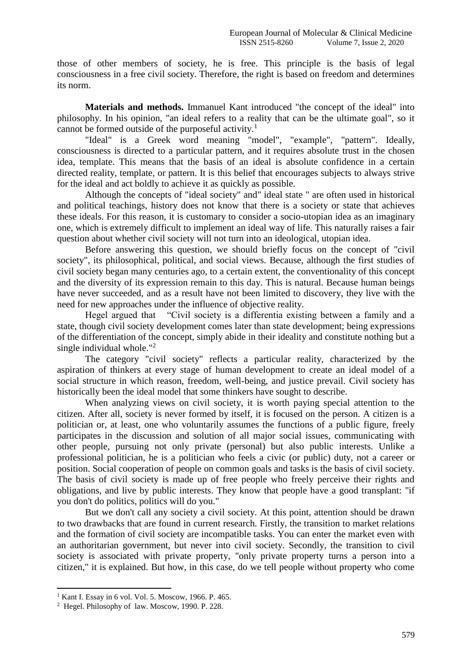those of other members of society, he is free. This principle is the basis of legal consciousness in a free civil society. Therefore, the right is based on freedom and determines its norm.

**Materials and methods.** Immanuel Kant introduced "the concept of the ideal" into philosophy. In his opinion, "an ideal refers to a reality that can be the ultimate goal", so it cannot be formed outside of the purposeful activity.<sup>1</sup>

"Ideal" is a Greek word meaning "model", "example", "pattern". Ideally, consciousness is directed to a particular pattern, and it requires absolute trust in the chosen idea, template. This means that the basis of an ideal is absolute confidence in a certain directed reality, template, or pattern. It is this belief that encourages subjects to always strive for the ideal and act boldly to achieve it as quickly as possible.

Although the concepts of "ideal society" and" ideal state " are often used in historical and political teachings, history does not know that there is a society or state that achieves these ideals. For this reason, it is customary to consider a socio-utopian idea as an imaginary one, which is extremely difficult to implement an ideal way of life. This naturally raises a fair question about whether civil society will not turn into an ideological, utopian idea.

Before answering this question, we should briefly focus on the concept of "civil society", its philosophical, political, and social views. Because, although the first studies of civil society began many centuries ago, to a certain extent, the conventionality of this concept and the diversity of its expression remain to this day. This is natural. Because human beings have never succeeded, and as a result have not been limited to discovery, they live with the need for new approaches under the influence of objective reality.

Hegel argued that "Civil society is a differentia existing between a family and a state, though civil society development comes later than state development; being expressions of the differentiation of the concept, simply abide in their ideality and constitute nothing but a single individual whole."<sup>2</sup>

The category "civil society" reflects a particular reality, characterized by the aspiration of thinkers at every stage of human development to create an ideal model of a social structure in which reason, freedom, well-being, and justice prevail. Civil society has historically been the ideal model that some thinkers have sought to describe.

When analyzing views on civil society, it is worth paying special attention to the citizen. After all, society is never formed by itself, it is focused on the person. A citizen is a politician or, at least, one who voluntarily assumes the functions of a public figure, freely participates in the discussion and solution of all major social issues, communicating with other people, pursuing not only private (personal) but also public interests. Unlike a professional politician, he is a politician who feels a civic (or public) duty, not a career or position. Social cooperation of people on common goals and tasks is the basis of civil society. The basis of civil society is made up of free people who freely perceive their rights and obligations, and live by public interests. They know that people have a good transplant: "if you don't do politics, politics will do you."

But we don't call any society a civil society. At this point, attention should be drawn to two drawbacks that are found in current research. Firstly, the transition to market relations and the formation of civil society are incompatible tasks. You can enter the market even with an authoritarian government, but never into civil society. Secondly, the transition to civil society is associated with private property, "only private property turns a person into a citizen," it is explained. But how, in this case, do we tell people without property who come

**.** 

 $<sup>1</sup>$  Kant I. Essay in 6 vol. Vol. 5. Moscow, 1966. P. 465.</sup>

<sup>2</sup> Hegel. Philosophy of law. Moscow, 1990. P. 228.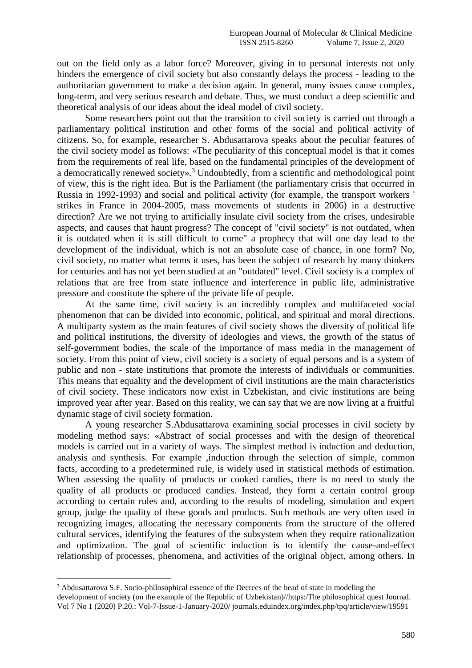out on the field only as a labor force? Moreover, giving in to personal interests not only hinders the emergence of civil society but also constantly delays the process - leading to the authoritarian government to make a decision again. In general, many issues cause complex, long-term, and very serious research and debate. Thus, we must conduct a deep scientific and theoretical analysis of our ideas about the ideal model of civil society.

Some researchers point out that the transition to civil society is carried out through a parliamentary political institution and other forms of the social and political activity of citizens. So, for example, researcher S. Abdusattarova speaks about the peculiar features of the civil society model as follows: «The peculiarity of this conceptual model is that it comes from the requirements of real life, based on the fundamental principles of the development of a democratically renewed society».<sup>3</sup> Undoubtedly, from a scientific and methodological point of view, this is the right idea. But is the Parliament (the parliamentary crisis that occurred in Russia in 1992-1993) and social and political activity (for example, the transport workers ' strikes in France in 2004-2005, mass movements of students in 2006) in a destructive direction? Are we not trying to artificially insulate civil society from the crises, undesirable aspects, and causes that haunt progress? The concept of "civil society" is not outdated, when it is outdated when it is still difficult to come" a prophecy that will one day lead to the development of the individual, which is not an absolute case of chance, in one form? No, civil society, no matter what terms it uses, has been the subject of research by many thinkers for centuries and has not yet been studied at an "outdated" level. Civil society is a complex of relations that are free from state influence and interference in public life, administrative pressure and constitute the sphere of the private life of people.

At the same time, civil society is an incredibly complex and multifaceted social phenomenon that can be divided into economic, political, and spiritual and moral directions. A multiparty system as the main features of civil society shows the diversity of political life and political institutions, the diversity of ideologies and views, the growth of the status of self-government bodies, the scale of the importance of mass media in the management of society. From this point of view, civil society is a society of equal persons and is a system of public and non - state institutions that promote the interests of individuals or communities. This means that equality and the development of civil institutions are the main characteristics of civil society. These indicators now exist in Uzbekistan, and civic institutions are being improved year after year. Based on this reality, we can say that we are now living at a fruitful dynamic stage of civil society formation.

A young researcher S.Abdusattarova examining social processes in civil society by modeling method says: «Abstract of social processes and with the design of theoretical models is carried out in a variety of ways. The simplest method is induction and deduction, analysis and synthesis. For example ,induction through the selection of simple, common facts, according to a predetermined rule, is widely used in statistical methods of estimation. When assessing the quality of products or cooked candies, there is no need to study the quality of all products or produced candies. Instead, they form a certain control group according to certain rules and, according to the results of modeling, simulation and expert group, judge the quality of these goods and products. Such methods are very often used in recognizing images, allocating the necessary components from the structure of the offered cultural services, identifying the features of the subsystem when they require rationalization and optimization. The goal of scientific induction is to identify the cause-and-effect relationship of processes, phenomena, and activities of the original object, among others. In

**.** 

<sup>&</sup>lt;sup>3</sup> Abdusattarova S.F. Socio-philosophical essence of the Decrees of the head of state in modeling the development of society (on the example of the Republic of Uzbekistan)//https:/The philosophical quest Journal. Vol 7 No 1 (2020) P.20.: Vol-7-Issue-1-January-2020/ journals.eduindex.org/index.php/tpq/article/view/19591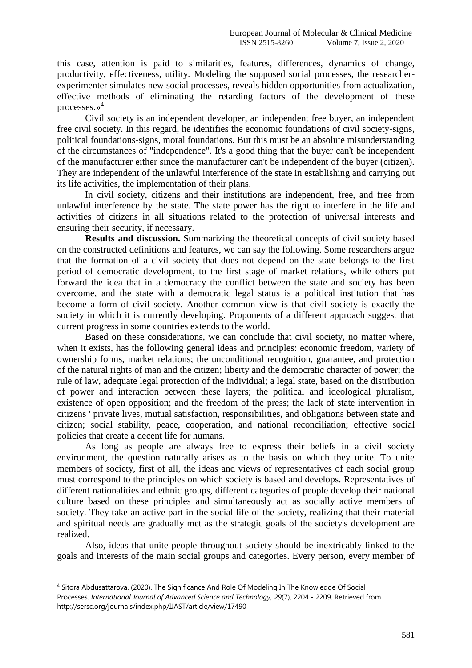this case, attention is paid to similarities, features, differences, dynamics of change, productivity, effectiveness, utility. Modeling the supposed social processes, the researcherexperimenter simulates new social processes, reveals hidden opportunities from actualization, effective methods of eliminating the retarding factors of the development of these processes.» 4

Civil society is an independent developer, an independent free buyer, an independent free civil society. In this regard, he identifies the economic foundations of civil society-signs, political foundations-signs, moral foundations. But this must be an absolute misunderstanding of the circumstances of "independence". It's a good thing that the buyer can't be independent of the manufacturer either since the manufacturer can't be independent of the buyer (citizen). They are independent of the unlawful interference of the state in establishing and carrying out its life activities, the implementation of their plans.

In civil society, citizens and their institutions are independent, free, and free from unlawful interference by the state. The state power has the right to interfere in the life and activities of citizens in all situations related to the protection of universal interests and ensuring their security, if necessary.

**Results and discussion.** Summarizing the theoretical concepts of civil society based on the constructed definitions and features, we can say the following. Some researchers argue that the formation of a civil society that does not depend on the state belongs to the first period of democratic development, to the first stage of market relations, while others put forward the idea that in a democracy the conflict between the state and society has been overcome, and the state with a democratic legal status is a political institution that has become a form of civil society. Another common view is that civil society is exactly the society in which it is currently developing. Proponents of a different approach suggest that current progress in some countries extends to the world.

Based on these considerations, we can conclude that civil society, no matter where, when it exists, has the following general ideas and principles: economic freedom, variety of ownership forms, market relations; the unconditional recognition, guarantee, and protection of the natural rights of man and the citizen; liberty and the democratic character of power; the rule of law, adequate legal protection of the individual; a legal state, based on the distribution of power and interaction between these layers; the political and ideological pluralism, existence of open opposition; and the freedom of the press; the lack of state intervention in citizens ' private lives, mutual satisfaction, responsibilities, and obligations between state and citizen; social stability, peace, cooperation, and national reconciliation; effective social policies that create a decent life for humans.

As long as people are always free to express their beliefs in a civil society environment, the question naturally arises as to the basis on which they unite. To unite members of society, first of all, the ideas and views of representatives of each social group must correspond to the principles on which society is based and develops. Representatives of different nationalities and ethnic groups, different categories of people develop their national culture based on these principles and simultaneously act as socially active members of society. They take an active part in the social life of the society, realizing that their material and spiritual needs are gradually met as the strategic goals of the society's development are realized.

Also, ideas that unite people throughout society should be inextricably linked to the goals and interests of the main social groups and categories. Every person, every member of

1

<sup>4</sup> Sitora Abdusattarova. (2020). The Significance And Role Of Modeling In The Knowledge Of Social Processes. *International Journal of Advanced Science and Technology*, *29*(7), 2204 - 2209. Retrieved from http://sersc.org/journals/index.php/IJAST/article/view/17490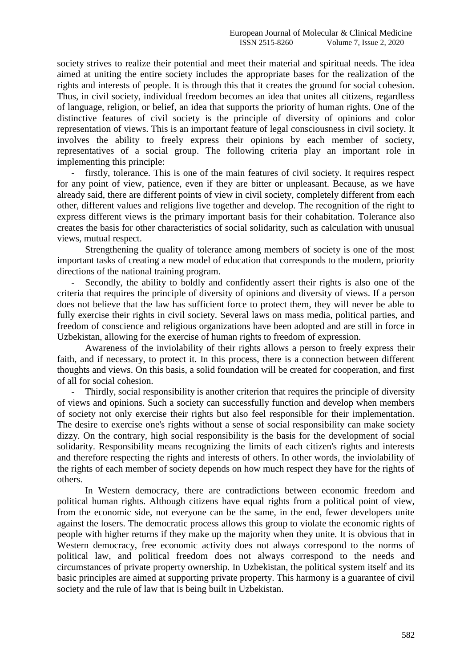society strives to realize their potential and meet their material and spiritual needs. The idea aimed at uniting the entire society includes the appropriate bases for the realization of the rights and interests of people. It is through this that it creates the ground for social cohesion. Thus, in civil society, individual freedom becomes an idea that unites all citizens, regardless of language, religion, or belief, an idea that supports the priority of human rights. One of the distinctive features of civil society is the principle of diversity of opinions and color representation of views. This is an important feature of legal consciousness in civil society. It involves the ability to freely express their opinions by each member of society, representatives of a social group. The following criteria play an important role in implementing this principle:

firstly, tolerance. This is one of the main features of civil society. It requires respect for any point of view, patience, even if they are bitter or unpleasant. Because, as we have already said, there are different points of view in civil society, completely different from each other, different values and religions live together and develop. The recognition of the right to express different views is the primary important basis for their cohabitation. Tolerance also creates the basis for other characteristics of social solidarity, such as calculation with unusual views, mutual respect.

Strengthening the quality of tolerance among members of society is one of the most important tasks of creating a new model of education that corresponds to the modern, priority directions of the national training program.

Secondly, the ability to boldly and confidently assert their rights is also one of the criteria that requires the principle of diversity of opinions and diversity of views. If a person does not believe that the law has sufficient force to protect them, they will never be able to fully exercise their rights in civil society. Several laws on mass media, political parties, and freedom of conscience and religious organizations have been adopted and are still in force in Uzbekistan, allowing for the exercise of human rights to freedom of expression.

Awareness of the inviolability of their rights allows a person to freely express their faith, and if necessary, to protect it. In this process, there is a connection between different thoughts and views. On this basis, a solid foundation will be created for cooperation, and first of all for social cohesion.

- Thirdly, social responsibility is another criterion that requires the principle of diversity of views and opinions. Such a society can successfully function and develop when members of society not only exercise their rights but also feel responsible for their implementation. The desire to exercise one's rights without a sense of social responsibility can make society dizzy. On the contrary, high social responsibility is the basis for the development of social solidarity. Responsibility means recognizing the limits of each citizen's rights and interests and therefore respecting the rights and interests of others. In other words, the inviolability of the rights of each member of society depends on how much respect they have for the rights of others.

In Western democracy, there are contradictions between economic freedom and political human rights. Although citizens have equal rights from a political point of view, from the economic side, not everyone can be the same, in the end, fewer developers unite against the losers. The democratic process allows this group to violate the economic rights of people with higher returns if they make up the majority when they unite. It is obvious that in Western democracy, free economic activity does not always correspond to the norms of political law, and political freedom does not always correspond to the needs and circumstances of private property ownership. In Uzbekistan, the political system itself and its basic principles are aimed at supporting private property. This harmony is a guarantee of civil society and the rule of law that is being built in Uzbekistan.